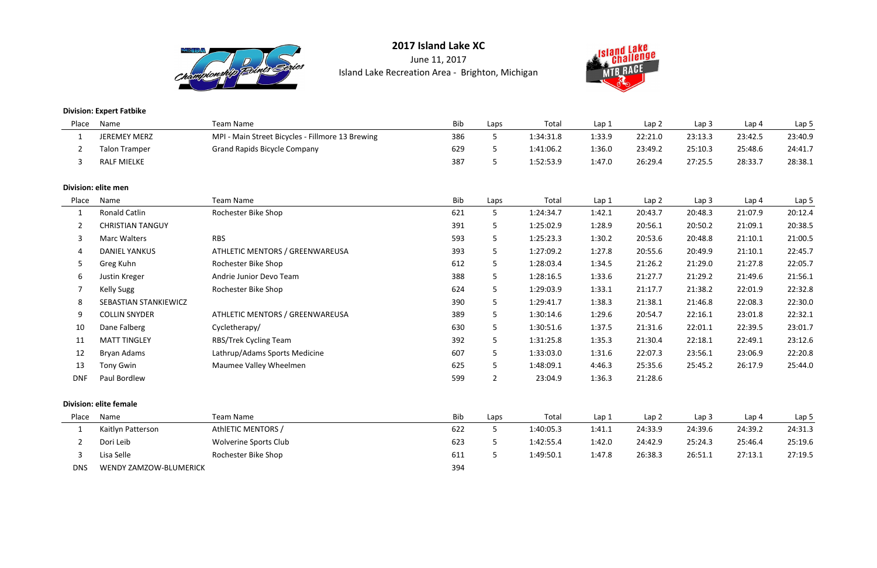

June 11, 2017Island Lake Recreation Area - Brighton, Michigan



**Division: Expert Fatbike**

| Place          | Name                          | <b>Team Name</b>                                 | Bib        | Laps           | Total     | Lap 1  | Lap2             | Lap <sub>3</sub> | Lap <sub>4</sub> | Lap <sub>5</sub> |
|----------------|-------------------------------|--------------------------------------------------|------------|----------------|-----------|--------|------------------|------------------|------------------|------------------|
| 1              | <b>JEREMEY MERZ</b>           | MPI - Main Street Bicycles - Fillmore 13 Brewing | 386        | 5              | 1:34:31.8 | 1:33.9 | 22:21.0          | 23:13.3          | 23:42.5          | 23:40.9          |
| $\overline{2}$ | <b>Talon Tramper</b>          | <b>Grand Rapids Bicycle Company</b>              | 629        | 5              | 1:41:06.2 | 1:36.0 | 23:49.2          | 25:10.3          | 25:48.6          | 24:41.7          |
| 3              | <b>RALF MIELKE</b>            |                                                  | 387        | 5              | 1:52:53.9 | 1:47.0 | 26:29.4          | 27:25.5          | 28:33.7          | 28:38.1          |
|                | Division: elite men           |                                                  |            |                |           |        |                  |                  |                  |                  |
| Place          | Name                          | <b>Team Name</b>                                 | Bib        | Laps           | Total     | Lap 1  | Lap <sub>2</sub> | Lap <sub>3</sub> | Lap <sub>4</sub> | Lap <sub>5</sub> |
| $\mathbf{1}$   | <b>Ronald Catlin</b>          | Rochester Bike Shop                              | 621        | 5              | 1:24:34.7 | 1:42.1 | 20:43.7          | 20:48.3          | 21:07.9          | 20:12.4          |
| $\overline{2}$ | <b>CHRISTIAN TANGUY</b>       |                                                  | 391        | 5              | 1:25:02.9 | 1:28.9 | 20:56.1          | 20:50.2          | 21:09.1          | 20:38.5          |
| 3              | <b>Marc Walters</b>           | <b>RBS</b>                                       | 593        | 5              | 1:25:23.3 | 1:30.2 | 20:53.6          | 20:48.8          | 21:10.1          | 21:00.5          |
|                | <b>DANIEL YANKUS</b>          | ATHLETIC MENTORS / GREENWAREUSA                  | 393        | 5              | 1:27:09.2 | 1:27.8 | 20:55.6          | 20:49.9          | 21:10.1          | 22:45.7          |
| 5              | Greg Kuhn                     | Rochester Bike Shop                              | 612        | 5              | 1:28:03.4 | 1:34.5 | 21:26.2          | 21:29.0          | 21:27.8          | 22:05.7          |
| 6              | Justin Kreger                 | Andrie Junior Devo Team                          | 388        | 5              | 1:28:16.5 | 1:33.6 | 21:27.7          | 21:29.2          | 21:49.6          | 21:56.1          |
|                | <b>Kelly Sugg</b>             | Rochester Bike Shop                              | 624        | 5              | 1:29:03.9 | 1:33.1 | 21:17.7          | 21:38.2          | 22:01.9          | 22:32.8          |
| 8              | SEBASTIAN STANKIEWICZ         |                                                  | 390        | 5              | 1:29:41.7 | 1:38.3 | 21:38.1          | 21:46.8          | 22:08.3          | 22:30.0          |
| 9              | <b>COLLIN SNYDER</b>          | ATHLETIC MENTORS / GREENWAREUSA                  | 389        | 5              | 1:30:14.6 | 1:29.6 | 20:54.7          | 22:16.1          | 23:01.8          | 22:32.1          |
| 10             | Dane Falberg                  | Cycletherapy/                                    | 630        | 5              | 1:30:51.6 | 1:37.5 | 21:31.6          | 22:01.1          | 22:39.5          | 23:01.7          |
| 11             | <b>MATT TINGLEY</b>           | RBS/Trek Cycling Team                            | 392        | 5              | 1:31:25.8 | 1:35.3 | 21:30.4          | 22:18.1          | 22:49.1          | 23:12.6          |
| 12             | Bryan Adams                   | Lathrup/Adams Sports Medicine                    | 607        | 5              | 1:33:03.0 | 1:31.6 | 22:07.3          | 23:56.1          | 23:06.9          | 22:20.8          |
| 13             | Tony Gwin                     | Maumee Valley Wheelmen                           | 625        | 5              | 1:48:09.1 | 4:46.3 | 25:35.6          | 25:45.2          | 26:17.9          | 25:44.0          |
| <b>DNF</b>     | Paul Bordlew                  |                                                  | 599        | $\overline{2}$ | 23:04.9   | 1:36.3 | 21:28.6          |                  |                  |                  |
|                | <b>Division: elite female</b> |                                                  |            |                |           |        |                  |                  |                  |                  |
| Place          | Name                          | <b>Team Name</b>                                 | <b>Bib</b> | Laps           | Total     | Lap 1  | Lap <sub>2</sub> | Lap <sub>3</sub> | Lap 4            | Lap 5            |
| 1              | Kaitlyn Patterson             | AthlETIC MENTORS /                               | 622        | 5 <sup>5</sup> | 1:40:05.3 | 1:41.1 | 24:33.9          | 24:39.6          | 24:39.2          | 24:31.3          |

|            | Dori Leib              | Wolverine Sports Club | 623 |
|------------|------------------------|-----------------------|-----|
|            | Lisa Selle             | Rochester Bike Shop   | 611 |
| <b>DNS</b> | WENDY ZAMZOW-BLUMERICK |                       | 394 |



|     | Bib | Laps | Total     | Lap <sub>1</sub> | Lap <sub>2</sub> | Lap 3   | Lap 4   | Lap <sub>5</sub> |
|-----|-----|------|-----------|------------------|------------------|---------|---------|------------------|
|     | 622 |      | 1:40:05.3 | 1:41.1           | 24:33.9          | 24:39.6 | 24:39.2 | 24:31.3          |
| lub | 623 |      | 1:42:55.4 | 1:42.0           | 24:42.9          | 25:24.3 | 25:46.4 | 25:19.6          |
|     | 611 |      | 1:49:50.1 | 1:47.8           | 26:38.3          | 26:51.1 | 27:13.1 | 27:19.5          |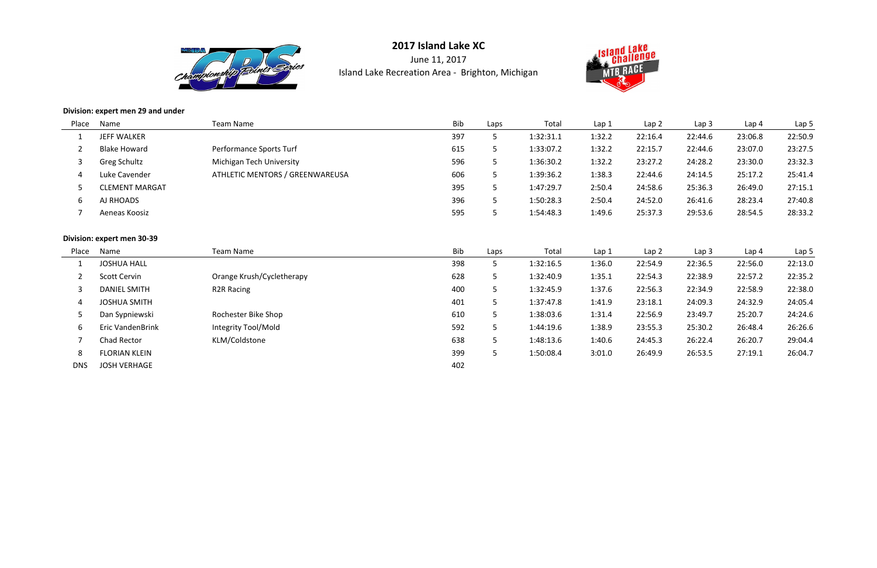

June 11, 2017Island Lake Recreation Area - Brighton, Michigan



#### **Division: expert men 29 and under**

| Place | Name                  | Team Name                       | <b>Bib</b> | Laps | Total     | Lap 1  | Lap <sub>2</sub> | Lap <sub>3</sub> | Lap <sub>4</sub> | Lap <sub>5</sub> |
|-------|-----------------------|---------------------------------|------------|------|-----------|--------|------------------|------------------|------------------|------------------|
|       | <b>JEFF WALKER</b>    |                                 | 397        |      | 1:32:31.1 | 1:32.2 | 22:16.4          | 22:44.6          | 23:06.8          | 22:50.9          |
|       | <b>Blake Howard</b>   | Performance Sports Turf         | 615        |      | 1:33:07.2 | 1:32.2 | 22:15.7          | 22:44.6          | 23:07.0          | 23:27.5          |
|       | Greg Schultz          | Michigan Tech University        | 596        |      | 1:36:30.2 | 1:32.2 | 23:27.2          | 24:28.2          | 23:30.0          | 23:32.3          |
| 4     | Luke Cavender         | ATHLETIC MENTORS / GREENWAREUSA | 606        |      | 1:39:36.2 | 1:38.3 | 22:44.6          | 24:14.5          | 25:17.2          | 25:41.4          |
|       | <b>CLEMENT MARGAT</b> |                                 | 395        |      | 1:47:29.7 | 2:50.4 | 24:58.6          | 25:36.3          | 26:49.0          | 27:15.1          |
| ь     | AJ RHOADS             |                                 | 396        |      | 1:50:28.3 | 2:50.4 | 24:52.0          | 26:41.6          | 28:23.4          | 27:40.8          |
|       | Aeneas Koosiz         |                                 | 595        |      | 1:54:48.3 | 1:49.6 | 25:37.3          | 29:53.6          | 28:54.5          | 28:33.2          |
|       |                       |                                 |            |      |           |        |                  |                  |                  |                  |

## **Division: expert men 30-39**

| Place      | Name                    | Team Name                 | Bib | Laps | Total     | Lap 1  | Lap <sub>2</sub> | Lap <sub>3</sub> | Lap 4   | Lap 5   |
|------------|-------------------------|---------------------------|-----|------|-----------|--------|------------------|------------------|---------|---------|
|            | <b>JOSHUA HALL</b>      |                           | 398 |      | 1:32:16.5 | 1:36.0 | 22:54.9          | 22:36.5          | 22:56.0 | 22:13.0 |
|            | Scott Cervin            | Orange Krush/Cycletherapy | 628 |      | 1:32:40.9 | 1:35.1 | 22:54.3          | 22:38.9          | 22:57.2 | 22:35.2 |
|            | <b>DANIEL SMITH</b>     | R <sub>2</sub> R Racing   | 400 |      | 1:32:45.9 | 1:37.6 | 22:56.3          | 22:34.9          | 22:58.9 | 22:38.0 |
| 4          | <b>JOSHUA SMITH</b>     |                           | 401 |      | 1:37:47.8 | 1:41.9 | 23:18.1          | 24:09.3          | 24:32.9 | 24:05.4 |
|            | Dan Sypniewski          | Rochester Bike Shop       | 610 |      | 1:38:03.6 | 1:31.4 | 22:56.9          | 23:49.7          | 25:20.7 | 24:24.6 |
| 6          | <b>Eric VandenBrink</b> | Integrity Tool/Mold       | 592 |      | 1:44:19.6 | 1:38.9 | 23:55.3          | 25:30.2          | 26:48.4 | 26:26.6 |
|            | Chad Rector             | KLM/Coldstone             | 638 |      | 1:48:13.6 | 1:40.6 | 24:45.3          | 26:22.4          | 26:20.7 | 29:04.4 |
| 8          | <b>FLORIAN KLEIN</b>    |                           | 399 |      | 1:50:08.4 | 3:01.0 | 26:49.9          | 26:53.5          | 27:19.1 | 26:04.7 |
| <b>DNS</b> | <b>JOSH VERHAGE</b>     |                           | 402 |      |           |        |                  |                  |         |         |

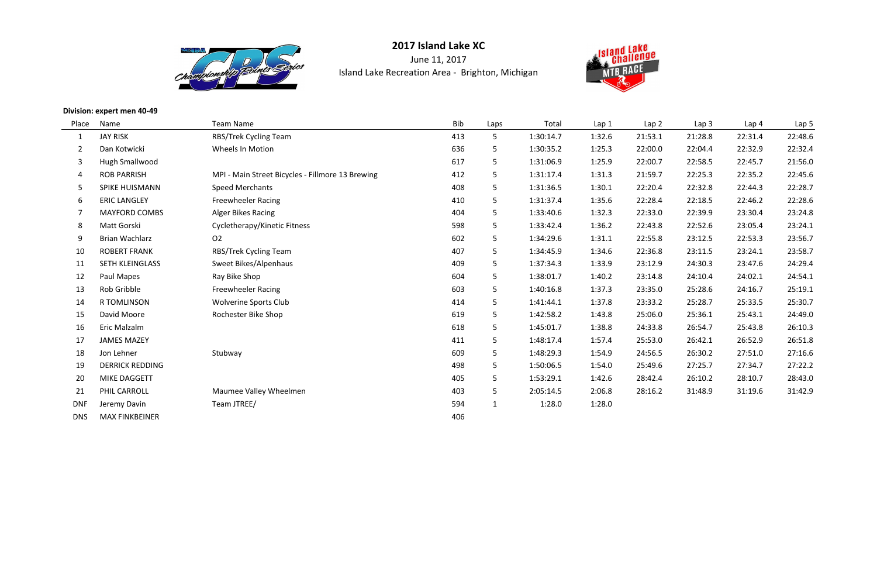

June 11, 2017Island Lake Recreation Area - Brighton, Michigan



#### **Division: expert men 40-49**

| Place          | Name                   | <b>Team Name</b>                                 | Bib | Laps         | Total     | Lap 1  | Lap <sub>2</sub> | Lap <sub>3</sub> | Lap <sub>4</sub> | Lap <sub>5</sub> |
|----------------|------------------------|--------------------------------------------------|-----|--------------|-----------|--------|------------------|------------------|------------------|------------------|
| $\mathbf 1$    | <b>JAY RISK</b>        | RBS/Trek Cycling Team                            | 413 | 5            | 1:30:14.7 | 1:32.6 | 21:53.1          | 21:28.8          | 22:31.4          | 22:48.6          |
| $\overline{2}$ | Dan Kotwicki           | <b>Wheels In Motion</b>                          | 636 | 5            | 1:30:35.2 | 1:25.3 | 22:00.0          | 22:04.4          | 22:32.9          | 22:32.4          |
| 3              | Hugh Smallwood         |                                                  | 617 | 5            | 1:31:06.9 | 1:25.9 | 22:00.7          | 22:58.5          | 22:45.7          | 21:56.0          |
| 4              | <b>ROB PARRISH</b>     | MPI - Main Street Bicycles - Fillmore 13 Brewing | 412 | 5            | 1:31:17.4 | 1:31.3 | 21:59.7          | 22:25.3          | 22:35.2          | 22:45.6          |
| 5              | <b>SPIKE HUISMANN</b>  | <b>Speed Merchants</b>                           | 408 | 5            | 1:31:36.5 | 1:30.1 | 22:20.4          | 22:32.8          | 22:44.3          | 22:28.7          |
| 6              | <b>ERIC LANGLEY</b>    | <b>Freewheeler Racing</b>                        | 410 | 5            | 1:31:37.4 | 1:35.6 | 22:28.4          | 22:18.5          | 22:46.2          | 22:28.6          |
|                | <b>MAYFORD COMBS</b>   | <b>Alger Bikes Racing</b>                        | 404 | 5            | 1:33:40.6 | 1:32.3 | 22:33.0          | 22:39.9          | 23:30.4          | 23:24.8          |
| 8              | Matt Gorski            | Cycletherapy/Kinetic Fitness                     | 598 | 5            | 1:33:42.4 | 1:36.2 | 22:43.8          | 22:52.6          | 23:05.4          | 23:24.1          |
| 9              | <b>Brian Wachlarz</b>  | O <sub>2</sub>                                   | 602 | 5            | 1:34:29.6 | 1:31.1 | 22:55.8          | 23:12.5          | 22:53.3          | 23:56.7          |
| 10             | <b>ROBERT FRANK</b>    | RBS/Trek Cycling Team                            | 407 | 5            | 1:34:45.9 | 1:34.6 | 22:36.8          | 23:11.5          | 23:24.1          | 23:58.7          |
| 11             | SETH KLEINGLASS        | Sweet Bikes/Alpenhaus                            | 409 | 5            | 1:37:34.3 | 1:33.9 | 23:12.9          | 24:30.3          | 23:47.6          | 24:29.4          |
| 12             | Paul Mapes             | Ray Bike Shop                                    | 604 | 5            | 1:38:01.7 | 1:40.2 | 23:14.8          | 24:10.4          | 24:02.1          | 24:54.1          |
| 13             | Rob Gribble            | <b>Freewheeler Racing</b>                        | 603 | 5            | 1:40:16.8 | 1:37.3 | 23:35.0          | 25:28.6          | 24:16.7          | 25:19.1          |
| 14             | <b>R TOMLINSON</b>     | <b>Wolverine Sports Club</b>                     | 414 | 5.           | 1:41:44.1 | 1:37.8 | 23:33.2          | 25:28.7          | 25:33.5          | 25:30.7          |
| 15             | David Moore            | Rochester Bike Shop                              | 619 | 5            | 1:42:58.2 | 1:43.8 | 25:06.0          | 25:36.1          | 25:43.1          | 24:49.0          |
| 16             | Eric Malzalm           |                                                  | 618 | 5            | 1:45:01.7 | 1:38.8 | 24:33.8          | 26:54.7          | 25:43.8          | 26:10.3          |
| 17             | <b>JAMES MAZEY</b>     |                                                  | 411 | 5            | 1:48:17.4 | 1:57.4 | 25:53.0          | 26:42.1          | 26:52.9          | 26:51.8          |
| 18             | Jon Lehner             | Stubway                                          | 609 | 5            | 1:48:29.3 | 1:54.9 | 24:56.5          | 26:30.2          | 27:51.0          | 27:16.6          |
| 19             | <b>DERRICK REDDING</b> |                                                  | 498 | 5            | 1:50:06.5 | 1:54.0 | 25:49.6          | 27:25.7          | 27:34.7          | 27:22.2          |
| 20             | MIKE DAGGETT           |                                                  | 405 | 5            | 1:53:29.1 | 1:42.6 | 28:42.4          | 26:10.2          | 28:10.7          | 28:43.0          |
| 21             | PHIL CARROLL           | Maumee Valley Wheelmen                           | 403 | 5            | 2:05:14.5 | 2:06.8 | 28:16.2          | 31:48.9          | 31:19.6          | 31:42.9          |
| <b>DNF</b>     | Jeremy Davin           | Team JTREE/                                      | 594 | $\mathbf{1}$ | 1:28.0    | 1:28.0 |                  |                  |                  |                  |
| <b>DNS</b>     | <b>MAX FINKBEINER</b>  |                                                  | 406 |              |           |        |                  |                  |                  |                  |

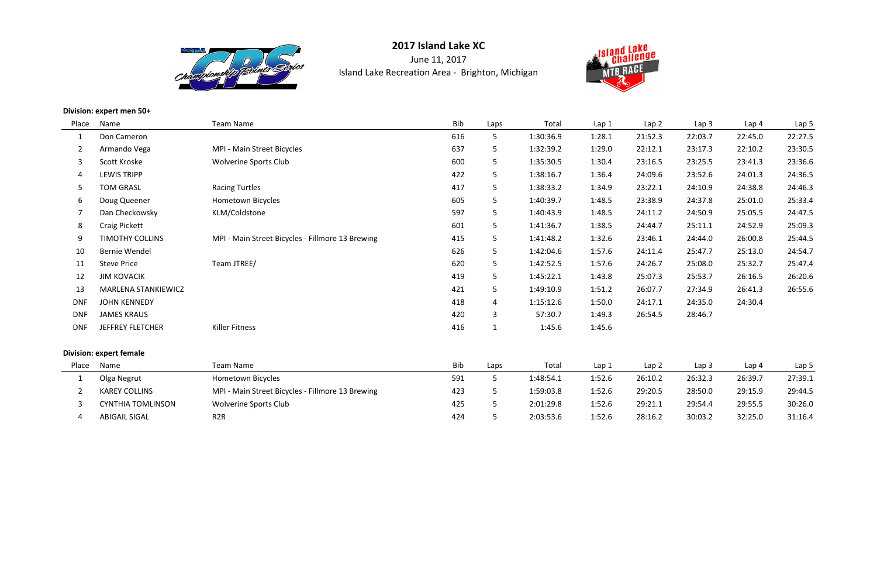

**2017 Island Lake XC**June 11, 2017Island Lake Recreation Area - Brighton, Michigan



## **Division: expert men 50+**

| Place      | Name                       | <b>Team Name</b>                                 | <b>Bib</b> | Laps           | Total     | Lap <sub>1</sub> | Lap <sub>2</sub> | Lap <sub>3</sub> | Lap <sub>4</sub> | Lap 5   |
|------------|----------------------------|--------------------------------------------------|------------|----------------|-----------|------------------|------------------|------------------|------------------|---------|
|            | Don Cameron                |                                                  | 616        | 5              | 1:30:36.9 | 1:28.1           | 21:52.3          | 22:03.7          | 22:45.0          | 22:27.5 |
|            | Armando Vega               | MPI - Main Street Bicycles                       | 637        | 5              | 1:32:39.2 | 1:29.0           | 22:12.1          | 23:17.3          | 22:10.2          | 23:30.5 |
| 3          | Scott Kroske               | <b>Wolverine Sports Club</b>                     | 600        | 5.             | 1:35:30.5 | 1:30.4           | 23:16.5          | 23:25.5          | 23:41.3          | 23:36.6 |
| 4          | <b>LEWIS TRIPP</b>         |                                                  | 422        | 5              | 1:38:16.7 | 1:36.4           | 24:09.6          | 23:52.6          | 24:01.3          | 24:36.5 |
| 5          | <b>TOM GRASL</b>           | <b>Racing Turtles</b>                            | 417        | 5              | 1:38:33.2 | 1:34.9           | 23:22.1          | 24:10.9          | 24:38.8          | 24:46.3 |
| 6          | Doug Queener               | Hometown Bicycles                                | 605        | 5              | 1:40:39.7 | 1:48.5           | 23:38.9          | 24:37.8          | 25:01.0          | 25:33.4 |
|            | Dan Checkowsky             | KLM/Coldstone                                    | 597        | 5              | 1:40:43.9 | 1:48.5           | 24:11.2          | 24:50.9          | 25:05.5          | 24:47.5 |
| 8          | <b>Craig Pickett</b>       |                                                  | 601        | 5              | 1:41:36.7 | 1:38.5           | 24:44.7          | 25:11.1          | 24:52.9          | 25:09.3 |
| 9          | <b>TIMOTHY COLLINS</b>     | MPI - Main Street Bicycles - Fillmore 13 Brewing | 415        | 5              | 1:41:48.2 | 1:32.6           | 23:46.1          | 24:44.0          | 26:00.8          | 25:44.5 |
| 10         | <b>Bernie Wendel</b>       |                                                  | 626        | 5              | 1:42:04.6 | 1:57.6           | 24:11.4          | 25:47.7          | 25:13.0          | 24:54.7 |
| 11         | <b>Steve Price</b>         | Team JTREE/                                      | 620        | 5              | 1:42:52.5 | 1:57.6           | 24:26.7          | 25:08.0          | 25:32.7          | 25:47.4 |
| 12         | <b>JIM KOVACIK</b>         |                                                  | 419        | 5              | 1:45:22.1 | 1:43.8           | 25:07.3          | 25:53.7          | 26:16.5          | 26:20.6 |
| 13         | <b>MARLENA STANKIEWICZ</b> |                                                  | 421        | 5              | 1:49:10.9 | 1:51.2           | 26:07.7          | 27:34.9          | 26:41.3          | 26:55.6 |
| <b>DNF</b> | <b>JOHN KENNEDY</b>        |                                                  | 418        | $\overline{4}$ | 1:15:12.6 | 1:50.0           | 24:17.1          | 24:35.0          | 24:30.4          |         |
| <b>DNF</b> | <b>JAMES KRAUS</b>         |                                                  | 420        | 3              | 57:30.7   | 1:49.3           | 26:54.5          | 28:46.7          |                  |         |
| <b>DNF</b> | <b>JEFFREY FLETCHER</b>    | Killer Fitness                                   | 416        |                | 1:45.6    | 1:45.6           |                  |                  |                  |         |
|            |                            |                                                  |            |                |           |                  |                  |                  |                  |         |

## **Division: expert female**

| Place | Name                     | Team Name                                        | <b>Bib</b> | Laps | Total     | Lap 1  | Lap 2   | Lap 3   | Lap 4   | Lap <sub>5</sub> |
|-------|--------------------------|--------------------------------------------------|------------|------|-----------|--------|---------|---------|---------|------------------|
|       | Olga Negrut              | Hometown Bicycles                                | 591        |      | 1:48:54.1 | 1:52.6 | 26:10.2 | 26:32.3 | 26:39.7 | 27:39.1          |
|       | <b>KAREY COLLINS</b>     | MPI - Main Street Bicycles - Fillmore 13 Brewing | 423        |      | 1:59:03.8 | 1:52.6 | 29:20.5 | 28:50.0 | 29:15.9 | 29:44.5          |
|       | <b>CYNTHIA TOMLINSON</b> | <b>Wolverine Sports Club</b>                     | 425        |      | 2:01:29.8 | 1:52.6 | 29:21.1 | 29:54.4 | 29:55.5 | 30:26.0          |
|       | <b>ABIGAIL SIGAL</b>     | R <sub>2</sub> R                                 | 424        |      | 2:03:53.6 | 1:52.6 | 28:16.2 | 30:03.2 | 32:25.0 | 31:16.4          |

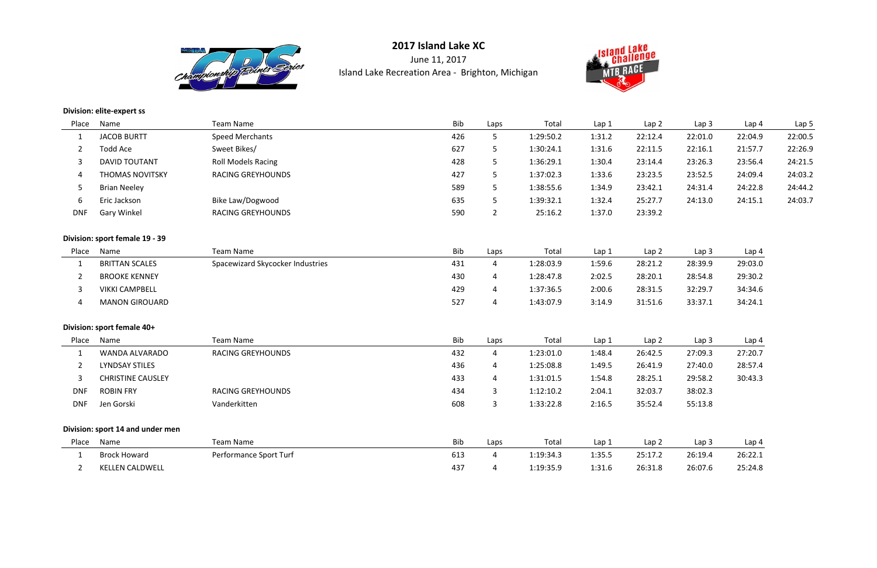

June 11, 2017Island Lake Recreation Area - Brighton, Michigan



## **Division: elite-expert ss**

| Name                             | <b>Team Name</b>                 | Bib | Laps            | Total     | Lap 1  | Lap 2            | Lap <sub>3</sub> | Lap 4   | Lap <sub>5</sub> |
|----------------------------------|----------------------------------|-----|-----------------|-----------|--------|------------------|------------------|---------|------------------|
| <b>JACOB BURTT</b>               | <b>Speed Merchants</b>           | 426 | 5 <sub>1</sub>  | 1:29:50.2 | 1:31.2 | 22:12.4          | 22:01.0          | 22:04.9 | 22:00.5          |
| <b>Todd Ace</b>                  | Sweet Bikes/                     | 627 | 5               | 1:30:24.1 | 1:31.6 | 22:11.5          | 22:16.1          | 21:57.7 | 22:26.9          |
| <b>DAVID TOUTANT</b>             | <b>Roll Models Racing</b>        | 428 | 5               | 1:36:29.1 | 1:30.4 | 23:14.4          | 23:26.3          | 23:56.4 | 24:21.5          |
| <b>THOMAS NOVITSKY</b>           | <b>RACING GREYHOUNDS</b>         | 427 | $5\overline{)}$ | 1:37:02.3 | 1:33.6 | 23:23.5          | 23:52.5          | 24:09.4 | 24:03.2          |
| <b>Brian Neeley</b>              |                                  | 589 | 5               | 1:38:55.6 | 1:34.9 | 23:42.1          | 24:31.4          | 24:22.8 | 24:44.2          |
| Eric Jackson                     | Bike Law/Dogwood                 | 635 | 5               | 1:39:32.1 | 1:32.4 | 25:27.7          | 24:13.0          | 24:15.1 | 24:03.7          |
| <b>Gary Winkel</b>               | <b>RACING GREYHOUNDS</b>         | 590 | $\overline{2}$  | 25:16.2   | 1:37.0 | 23:39.2          |                  |         |                  |
| Division: sport female 19 - 39   |                                  |     |                 |           |        |                  |                  |         |                  |
| Name                             | Team Name                        | Bib | Laps            | Total     | Lap 1  | Lap <sub>2</sub> | Lap <sub>3</sub> | Lap 4   |                  |
| <b>BRITTAN SCALES</b>            | Spacewizard Skycocker Industries | 431 | $\overline{4}$  | 1:28:03.9 | 1:59.6 | 28:21.2          | 28:39.9          | 29:03.0 |                  |
| <b>BROOKE KENNEY</b>             |                                  | 430 | $\overline{4}$  | 1:28:47.8 | 2:02.5 | 28:20.1          | 28:54.8          | 29:30.2 |                  |
| <b>VIKKI CAMPBELL</b>            |                                  | 429 | $\overline{4}$  | 1:37:36.5 | 2:00.6 | 28:31.5          | 32:29.7          | 34:34.6 |                  |
| <b>MANON GIROUARD</b>            |                                  | 527 | $\overline{4}$  | 1:43:07.9 | 3:14.9 | 31:51.6          | 33:37.1          | 34:24.1 |                  |
| Division: sport female 40+       |                                  |     |                 |           |        |                  |                  |         |                  |
| Name                             | <b>Team Name</b>                 | Bib | Laps            | Total     | Lap 1  | Lap 2            | Lap <sub>3</sub> | Lap 4   |                  |
| WANDA ALVARADO                   | <b>RACING GREYHOUNDS</b>         | 432 | $\overline{4}$  | 1:23:01.0 | 1:48.4 | 26:42.5          | 27:09.3          | 27:20.7 |                  |
| <b>LYNDSAY STILES</b>            |                                  | 436 | $\overline{4}$  | 1:25:08.8 | 1:49.5 | 26:41.9          | 27:40.0          | 28:57.4 |                  |
| <b>CHRISTINE CAUSLEY</b>         |                                  | 433 | $\overline{4}$  | 1:31:01.5 | 1:54.8 | 28:25.1          | 29:58.2          | 30:43.3 |                  |
| <b>ROBIN FRY</b>                 | <b>RACING GREYHOUNDS</b>         | 434 | $\mathbf{3}$    | 1:12:10.2 | 2:04.1 | 32:03.7          | 38:02.3          |         |                  |
| Jen Gorski                       | Vanderkitten                     | 608 | $\overline{3}$  | 1:33:22.8 | 2:16.5 | 35:52.4          | 55:13.8          |         |                  |
| Division: sport 14 and under men |                                  |     |                 |           |        |                  |                  |         |                  |
| Name                             | <b>Team Name</b>                 | Bib | Laps            | Total     | Lap 1  | Lap <sub>2</sub> | Lap <sub>3</sub> | Lap 4   |                  |
| <b>Brock Howard</b>              | Performance Sport Turf           | 613 | $\overline{4}$  | 1:19:34.3 | 1:35.5 | 25:17.2          | 26:19.4          | 26:22.1 |                  |
| <b>KELLEN CALDWELL</b>           |                                  | 437 | $\overline{4}$  | 1:19:35.9 | 1:31.6 | 26:31.8          | 26:07.6          | 25:24.8 |                  |
|                                  |                                  |     |                 |           |        |                  |                  |         |                  |

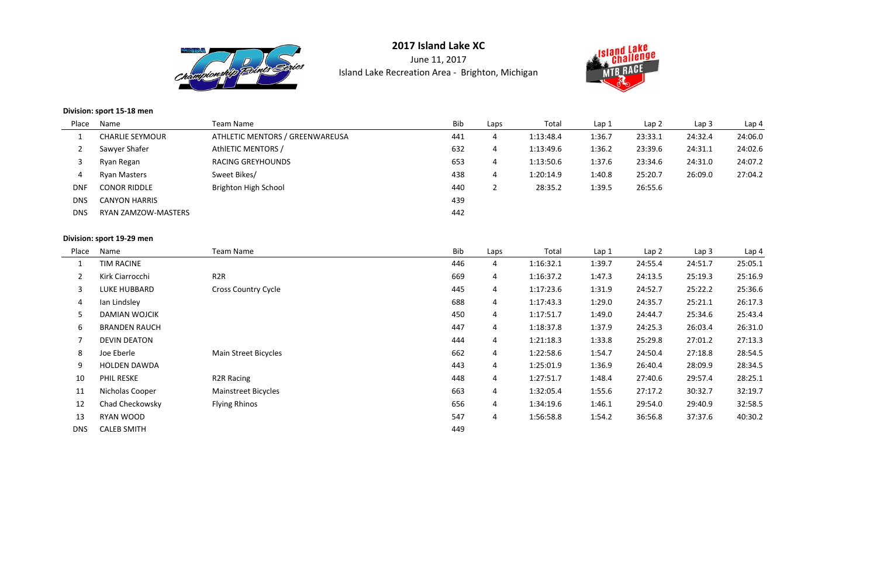

June 11, 2017Island Lake Recreation Area - Brighton, Michigan



## **Division: sport 15-18 men**

| Place      | Name                       | Team Name                       | <b>Bib</b> | Laps | Total     | Lap 1  | Lap <sub>2</sub> | Lap <sub>3</sub> | Lap 4   |
|------------|----------------------------|---------------------------------|------------|------|-----------|--------|------------------|------------------|---------|
|            | <b>CHARLIE SEYMOUR</b>     | ATHLETIC MENTORS / GREENWAREUSA | 441        | 4    | 1:13:48.4 | 1:36.7 | 23:33.1          | 24:32.4          | 24:06.0 |
|            | Sawyer Shafer              | AthlETIC MENTORS /              | 632        | 4    | 1:13:49.6 | 1:36.2 | 23:39.6          | 24:31.1          | 24:02.6 |
|            | Ryan Regan                 | <b>RACING GREYHOUNDS</b>        | 653        | 4    | 1:13:50.6 | 1:37.6 | 23:34.6          | 24:31.0          | 24:07.2 |
| 4          | <b>Ryan Masters</b>        | Sweet Bikes/                    | 438        | 4    | 1:20:14.9 | 1:40.8 | 25:20.7          | 26:09.0          | 27:04.2 |
| <b>DNF</b> | <b>CONOR RIDDLE</b>        | <b>Brighton High School</b>     | 440        |      | 28:35.2   | 1:39.5 | 26:55.6          |                  |         |
| <b>DNS</b> | <b>CANYON HARRIS</b>       |                                 | 439        |      |           |        |                  |                  |         |
| <b>DNS</b> | <b>RYAN ZAMZOW-MASTERS</b> |                                 | 442        |      |           |        |                  |                  |         |

## **Division: sport 19-29 men**

| Place          | Name                 | Team Name                  | Bib | Laps           | Total     | Lap 1  | Lap <sub>2</sub> | Lap <sub>3</sub> | Lap 4   |
|----------------|----------------------|----------------------------|-----|----------------|-----------|--------|------------------|------------------|---------|
|                | TIM RACINE           |                            | 446 | 4              | 1:16:32.1 | 1:39.7 | 24:55.4          | 24:51.7          | 25:05.1 |
| $\overline{2}$ | Kirk Ciarrocchi      | R <sub>2</sub> R           | 669 | 4              | 1:16:37.2 | 1:47.3 | 24:13.5          | 25:19.3          | 25:16.9 |
| 3              | LUKE HUBBARD         | <b>Cross Country Cycle</b> | 445 | $\overline{4}$ | 1:17:23.6 | 1:31.9 | 24:52.7          | 25:22.2          | 25:36.6 |
| 4              | Ian Lindsley         |                            | 688 | $\overline{4}$ | 1:17:43.3 | 1:29.0 | 24:35.7          | 25:21.1          | 26:17.3 |
| 5              | <b>DAMIAN WOJCIK</b> |                            | 450 | $\overline{4}$ | 1:17:51.7 | 1:49.0 | 24:44.7          | 25:34.6          | 25:43.4 |
| 6              | <b>BRANDEN RAUCH</b> |                            | 447 | $\overline{4}$ | 1:18:37.8 | 1:37.9 | 24:25.3          | 26:03.4          | 26:31.0 |
| 7              | <b>DEVIN DEATON</b>  |                            | 444 | $\overline{4}$ | 1:21:18.3 | 1:33.8 | 25:29.8          | 27:01.2          | 27:13.3 |
| 8              | Joe Eberle           | Main Street Bicycles       | 662 | $\overline{4}$ | 1:22:58.6 | 1:54.7 | 24:50.4          | 27:18.8          | 28:54.5 |
| 9              | <b>HOLDEN DAWDA</b>  |                            | 443 | $\overline{4}$ | 1:25:01.9 | 1:36.9 | 26:40.4          | 28:09.9          | 28:34.5 |
| 10             | <b>PHIL RESKE</b>    | <b>R2R Racing</b>          | 448 | $\overline{4}$ | 1:27:51.7 | 1:48.4 | 27:40.6          | 29:57.4          | 28:25.1 |
| 11             | Nicholas Cooper      | <b>Mainstreet Bicycles</b> | 663 | $\overline{4}$ | 1:32:05.4 | 1:55.6 | 27:17.2          | 30:32.7          | 32:19.7 |
| 12             | Chad Checkowsky      | <b>Flying Rhinos</b>       | 656 | 4              | 1:34:19.6 | 1:46.1 | 29:54.0          | 29:40.9          | 32:58.5 |
| 13             | RYAN WOOD            |                            | 547 | $\overline{4}$ | 1:56:58.8 | 1:54.2 | 36:56.8          | 37:37.6          | 40:30.2 |
| <b>DNS</b>     | <b>CALEB SMITH</b>   |                            | 449 |                |           |        |                  |                  |         |

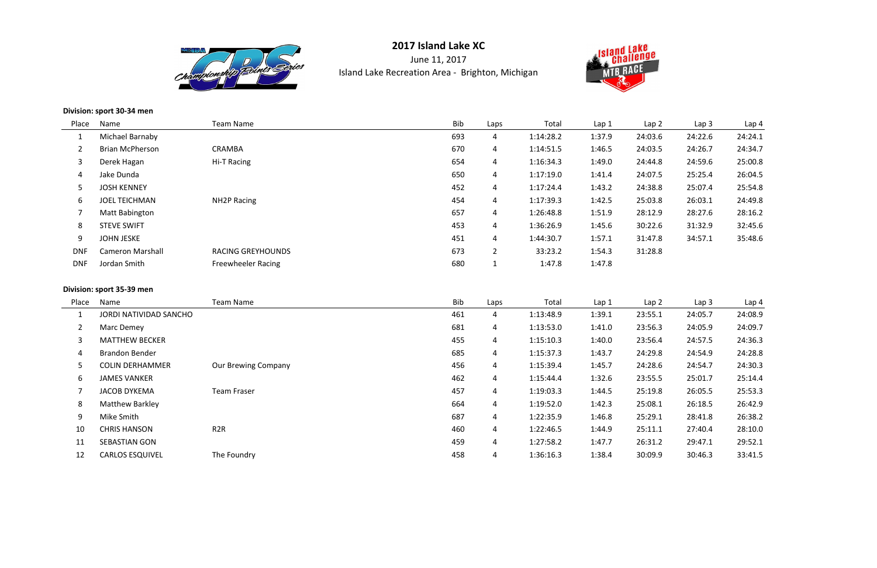

June 11, 2017Island Lake Recreation Area - Brighton, Michigan



#### **Division: sport 30-34 men**

| Place      | Name                    | Team Name                 | Bib | Laps           | Total     | Lap <sub>1</sub> | Lap <sub>2</sub> | Lap <sub>3</sub> | Lap 4   |
|------------|-------------------------|---------------------------|-----|----------------|-----------|------------------|------------------|------------------|---------|
|            | Michael Barnaby         |                           | 693 | 4              | 1:14:28.2 | 1:37.9           | 24:03.6          | 24:22.6          | 24:24.1 |
|            | <b>Brian McPherson</b>  | CRAMBA                    | 670 | 4              | 1:14:51.5 | 1:46.5           | 24:03.5          | 24:26.7          | 24:34.7 |
| 3          | Derek Hagan             | Hi-T Racing               | 654 | 4              | 1:16:34.3 | 1:49.0           | 24:44.8          | 24:59.6          | 25:00.8 |
| 4          | Jake Dunda              |                           | 650 | 4              | 1:17:19.0 | 1:41.4           | 24:07.5          | 25:25.4          | 26:04.5 |
| 5          | <b>JOSH KENNEY</b>      |                           | 452 | 4              | 1:17:24.4 | 1:43.2           | 24:38.8          | 25:07.4          | 25:54.8 |
| 6          | <b>JOEL TEICHMAN</b>    | NH <sub>2</sub> P Racing  | 454 | 4              | 1:17:39.3 | 1:42.5           | 25:03.8          | 26:03.1          | 24:49.8 |
| 7          | <b>Matt Babington</b>   |                           | 657 | 4              | 1:26:48.8 | 1:51.9           | 28:12.9          | 28:27.6          | 28:16.2 |
| 8          | <b>STEVE SWIFT</b>      |                           | 453 | 4              | 1:36:26.9 | 1:45.6           | 30:22.6          | 31:32.9          | 32:45.6 |
| 9          | <b>JOHN JESKE</b>       |                           | 451 | 4              | 1:44:30.7 | 1:57.1           | 31:47.8          | 34:57.1          | 35:48.6 |
| <b>DNF</b> | <b>Cameron Marshall</b> | <b>RACING GREYHOUNDS</b>  | 673 | $\overline{2}$ | 33:23.2   | 1:54.3           | 31:28.8          |                  |         |
| <b>DNF</b> | Jordan Smith            | <b>Freewheeler Racing</b> | 680 | <b>T</b>       | 1:47.8    | 1:47.8           |                  |                  |         |

#### **Division: sport 35-39 men**

| Place | Name                   | Team Name                  | Bib | Laps | Total     | Lap 1  | Lap <sub>2</sub> | Lap <sub>3</sub> | Lap 4   |
|-------|------------------------|----------------------------|-----|------|-----------|--------|------------------|------------------|---------|
|       | JORDI NATIVIDAD SANCHO |                            | 461 | 4    | 1:13:48.9 | 1:39.1 | 23:55.1          | 24:05.7          | 24:08.9 |
|       | Marc Demey             |                            | 681 | 4    | 1:13:53.0 | 1:41.0 | 23:56.3          | 24:05.9          | 24:09.7 |
| 3     | <b>MATTHEW BECKER</b>  |                            | 455 | 4    | 1:15:10.3 | 1:40.0 | 23:56.4          | 24:57.5          | 24:36.3 |
| 4     | <b>Brandon Bender</b>  |                            | 685 | 4    | 1:15:37.3 | 1:43.7 | 24:29.8          | 24:54.9          | 24:28.8 |
|       | <b>COLIN DERHAMMER</b> | <b>Our Brewing Company</b> | 456 | 4    | 1:15:39.4 | 1:45.7 | 24:28.6          | 24:54.7          | 24:30.3 |
| 6     | <b>JAMES VANKER</b>    |                            | 462 | 4    | 1:15:44.4 | 1:32.6 | 23:55.5          | 25:01.7          | 25:14.4 |
|       | <b>JACOB DYKEMA</b>    | <b>Team Fraser</b>         | 457 | 4    | 1:19:03.3 | 1:44.5 | 25:19.8          | 26:05.5          | 25:53.3 |
| 8     | <b>Matthew Barkley</b> |                            | 664 | 4    | 1:19:52.0 | 1:42.3 | 25:08.1          | 26:18.5          | 26:42.9 |
| 9     | Mike Smith             |                            | 687 | 4    | 1:22:35.9 | 1:46.8 | 25:29.1          | 28:41.8          | 26:38.2 |
| 10    | <b>CHRIS HANSON</b>    | R <sub>2</sub> R           | 460 | 4    | 1:22:46.5 | 1:44.9 | 25:11.1          | 27:40.4          | 28:10.0 |
| 11    | <b>SEBASTIAN GON</b>   |                            | 459 | 4    | 1:27:58.2 | 1:47.7 | 26:31.2          | 29:47.1          | 29:52.1 |
| 12    | <b>CARLOS ESQUIVEL</b> | The Foundry                | 458 | 4    | 1:36:16.3 | 1:38.4 | 30:09.9          | 30:46.3          | 33:41.5 |

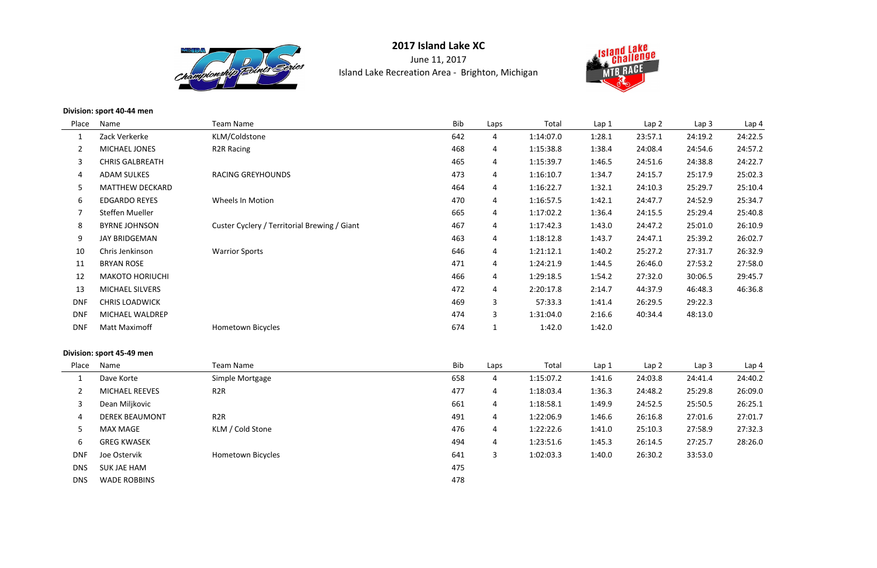

**2017 Island Lake XC**June 11, 2017Island Lake Recreation Area - Brighton, Michigan



**Division: sport 40-44 men**

| Place          | Name                   | <b>Team Name</b>                             | Bib | Laps           | Total     | Lap 1  | Lap2    | Lap <sub>3</sub> | Lap 4   |
|----------------|------------------------|----------------------------------------------|-----|----------------|-----------|--------|---------|------------------|---------|
| 1              | Zack Verkerke          | KLM/Coldstone                                | 642 | 4              | 1:14:07.0 | 1:28.1 | 23:57.1 | 24:19.2          | 24:22.5 |
| $\overline{2}$ | MICHAEL JONES          | <b>R2R Racing</b>                            | 468 | 4              | 1:15:38.8 | 1:38.4 | 24:08.4 | 24:54.6          | 24:57.2 |
| 3              | <b>CHRIS GALBREATH</b> |                                              | 465 | $\overline{4}$ | 1:15:39.7 | 1:46.5 | 24:51.6 | 24:38.8          | 24:22.7 |
| 4              | <b>ADAM SULKES</b>     | <b>RACING GREYHOUNDS</b>                     | 473 | $\overline{4}$ | 1:16:10.7 | 1:34.7 | 24:15.7 | 25:17.9          | 25:02.3 |
| 5              | <b>MATTHEW DECKARD</b> |                                              | 464 | 4              | 1:16:22.7 | 1:32.1 | 24:10.3 | 25:29.7          | 25:10.4 |
| 6              | <b>EDGARDO REYES</b>   | Wheels In Motion                             | 470 | 4              | 1:16:57.5 | 1:42.1 | 24:47.7 | 24:52.9          | 25:34.7 |
|                | Steffen Mueller        |                                              | 665 | 4              | 1:17:02.2 | 1:36.4 | 24:15.5 | 25:29.4          | 25:40.8 |
| 8              | <b>BYRNE JOHNSON</b>   | Custer Cyclery / Territorial Brewing / Giant | 467 | 4              | 1:17:42.3 | 1:43.0 | 24:47.2 | 25:01.0          | 26:10.9 |
| 9              | <b>JAY BRIDGEMAN</b>   |                                              | 463 | $\overline{4}$ | 1:18:12.8 | 1:43.7 | 24:47.1 | 25:39.2          | 26:02.7 |
| 10             | Chris Jenkinson        | <b>Warrior Sports</b>                        | 646 | $\overline{4}$ | 1:21:12.1 | 1:40.2 | 25:27.2 | 27:31.7          | 26:32.9 |
| 11             | <b>BRYAN ROSE</b>      |                                              | 471 | 4              | 1:24:21.9 | 1:44.5 | 26:46.0 | 27:53.2          | 27:58.0 |
| 12             | <b>MAKOTO HORIUCHI</b> |                                              | 466 | 4              | 1:29:18.5 | 1:54.2 | 27:32.0 | 30:06.5          | 29:45.7 |
| 13             | <b>MICHAEL SILVERS</b> |                                              | 472 | 4              | 2:20:17.8 | 2:14.7 | 44:37.9 | 46:48.3          | 46:36.8 |
| <b>DNF</b>     | <b>CHRIS LOADWICK</b>  |                                              | 469 | 3              | 57:33.3   | 1:41.4 | 26:29.5 | 29:22.3          |         |
| <b>DNF</b>     | MICHAEL WALDREP        |                                              | 474 | 3              | 1:31:04.0 | 2:16.6 | 40:34.4 | 48:13.0          |         |
| <b>DNF</b>     | <b>Matt Maximoff</b>   | <b>Hometown Bicycles</b>                     | 674 |                | 1:42.0    | 1:42.0 |         |                  |         |

## **Division: sport 45-49 men**

| Name                  | Team Name         | Bib | Laps | Total     | Lap <sub>1</sub> | Lap <sub>2</sub> | Lap <sub>3</sub> | Lap 4   |
|-----------------------|-------------------|-----|------|-----------|------------------|------------------|------------------|---------|
| Dave Korte            | Simple Mortgage   | 658 | 4    | 1:15:07.2 | 1:41.6           | 24:03.8          | 24:41.4          | 24:40.2 |
| <b>MICHAEL REEVES</b> | R <sub>2</sub> R  | 477 | 4    | 1:18:03.4 | 1:36.3           | 24:48.2          | 25:29.8          | 26:09.0 |
| Dean Miljkovic        |                   | 661 | 4    | 1:18:58.1 | 1:49.9           | 24:52.5          | 25:50.5          | 26:25.1 |
| <b>DEREK BEAUMONT</b> | R <sub>2</sub> R  | 491 | 4    | 1:22:06.9 | 1:46.6           | 26:16.8          | 27:01.6          | 27:01.7 |
| <b>MAX MAGE</b>       | KLM / Cold Stone  | 476 | 4    | 1:22:22.6 | 1:41.0           | 25:10.3          | 27:58.9          | 27:32.3 |
| <b>GREG KWASEK</b>    |                   | 494 | 4    | 1:23:51.6 | 1:45.3           | 26:14.5          | 27:25.7          | 28:26.0 |
| Joe Ostervik          | Hometown Bicycles | 641 | 3    | 1:02:03.3 | 1:40.0           | 26:30.2          | 33:53.0          |         |
| <b>SUK JAE HAM</b>    |                   | 475 |      |           |                  |                  |                  |         |
| <b>WADE ROBBINS</b>   |                   | 478 |      |           |                  |                  |                  |         |
|                       |                   |     |      |           |                  |                  |                  |         |

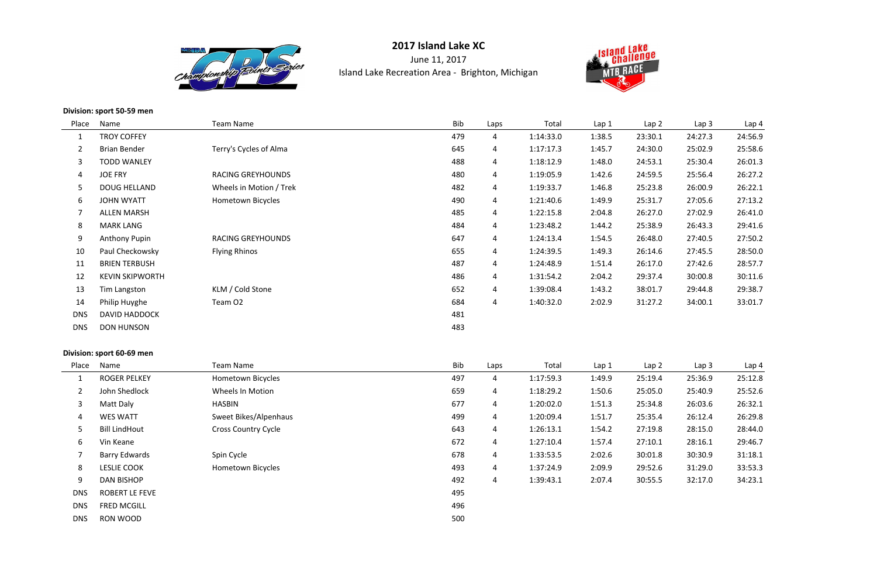

June 11, 2017Island Lake Recreation Area - Brighton, Michigan



**Division: sport 50-59 men**

| Name                   | <b>Team Name</b>         | Bib | Laps           | Total     | Lap <sub>1</sub> | Lap <sub>2</sub> | Lap <sub>3</sub> | Lap 4   |
|------------------------|--------------------------|-----|----------------|-----------|------------------|------------------|------------------|---------|
| <b>TROY COFFEY</b>     |                          | 479 | 4              | 1:14:33.0 | 1:38.5           | 23:30.1          | 24:27.3          | 24:56.9 |
| <b>Brian Bender</b>    | Terry's Cycles of Alma   | 645 | 4              | 1:17:17.3 | 1:45.7           | 24:30.0          | 25:02.9          | 25:58.6 |
| <b>TODD WANLEY</b>     |                          | 488 | 4              | 1:18:12.9 | 1:48.0           | 24:53.1          | 25:30.4          | 26:01.3 |
| <b>JOE FRY</b>         | <b>RACING GREYHOUNDS</b> | 480 | 4              | 1:19:05.9 | 1:42.6           | 24:59.5          | 25:56.4          | 26:27.2 |
| <b>DOUG HELLAND</b>    | Wheels in Motion / Trek  | 482 | 4              | 1:19:33.7 | 1:46.8           | 25:23.8          | 26:00.9          | 26:22.1 |
| <b>JOHN WYATT</b>      | Hometown Bicycles        | 490 | 4              | 1:21:40.6 | 1:49.9           | 25:31.7          | 27:05.6          | 27:13.2 |
| <b>ALLEN MARSH</b>     |                          | 485 | 4              | 1:22:15.8 | 2:04.8           | 26:27.0          | 27:02.9          | 26:41.0 |
| <b>MARK LANG</b>       |                          | 484 | $\overline{4}$ | 1:23:48.2 | 1:44.2           | 25:38.9          | 26:43.3          | 29:41.6 |
| <b>Anthony Pupin</b>   | <b>RACING GREYHOUNDS</b> | 647 | 4              | 1:24:13.4 | 1:54.5           | 26:48.0          | 27:40.5          | 27:50.2 |
| Paul Checkowsky        | <b>Flying Rhinos</b>     | 655 | 4              | 1:24:39.5 | 1:49.3           | 26:14.6          | 27:45.5          | 28:50.0 |
| <b>BRIEN TERBUSH</b>   |                          | 487 | 4              | 1:24:48.9 | 1:51.4           | 26:17.0          | 27:42.6          | 28:57.7 |
| <b>KEVIN SKIPWORTH</b> |                          | 486 | 4              | 1:31:54.2 | 2:04.2           | 29:37.4          | 30:00.8          | 30:11.6 |
| Tim Langston           | KLM / Cold Stone         | 652 | 4              | 1:39:08.4 | 1:43.2           | 38:01.7          | 29:44.8          | 29:38.7 |
| Philip Huyghe          | Team O <sub>2</sub>      | 684 | 4              | 1:40:32.0 | 2:02.9           | 31:27.2          | 34:00.1          | 33:01.7 |
| <b>DAVID HADDOCK</b>   |                          | 481 |                |           |                  |                  |                  |         |
| <b>DON HUNSON</b>      |                          | 483 |                |           |                  |                  |                  |         |
|                        | Place                    |     |                |           |                  |                  |                  |         |

## **Division: sport 60-69 men**

| Name                  | Team Name                  | Bib | Laps | Total     | Lap 1  | Lap <sub>2</sub> | Lap <sub>3</sub> | Lap 4   |
|-----------------------|----------------------------|-----|------|-----------|--------|------------------|------------------|---------|
| <b>ROGER PELKEY</b>   | Hometown Bicycles          | 497 | 4    | 1:17:59.3 | 1:49.9 | 25:19.4          | 25:36.9          | 25:12.8 |
| John Shedlock         | Wheels In Motion           | 659 | 4    | 1:18:29.2 | 1:50.6 | 25:05.0          | 25:40.9          | 25:52.6 |
| Matt Daly             | <b>HASBIN</b>              | 677 | 4    | 1:20:02.0 | 1:51.3 | 25:34.8          | 26:03.6          | 26:32.1 |
| <b>WES WATT</b>       | Sweet Bikes/Alpenhaus      | 499 | 4    | 1:20:09.4 | 1:51.7 | 25:35.4          | 26:12.4          | 26:29.8 |
| <b>Bill LindHout</b>  | <b>Cross Country Cycle</b> | 643 | 4    | 1:26:13.1 | 1:54.2 | 27:19.8          | 28:15.0          | 28:44.0 |
| Vin Keane             |                            | 672 | 4    | 1:27:10.4 | 1:57.4 | 27:10.1          | 28:16.1          | 29:46.7 |
| <b>Barry Edwards</b>  | Spin Cycle                 | 678 | 4    | 1:33:53.5 | 2:02.6 | 30:01.8          | 30:30.9          | 31:18.1 |
| <b>LESLIE COOK</b>    | Hometown Bicycles          | 493 | 4    | 1:37:24.9 | 2:09.9 | 29:52.6          | 31:29.0          | 33:53.3 |
| <b>DAN BISHOP</b>     |                            | 492 | 4    | 1:39:43.1 | 2:07.4 | 30:55.5          | 32:17.0          | 34:23.1 |
| <b>ROBERT LE FEVE</b> |                            | 495 |      |           |        |                  |                  |         |
| <b>FRED MCGILL</b>    |                            | 496 |      |           |        |                  |                  |         |
| RON WOOD              |                            | 500 |      |           |        |                  |                  |         |
|                       | Place                      |     |      |           |        |                  |                  |         |

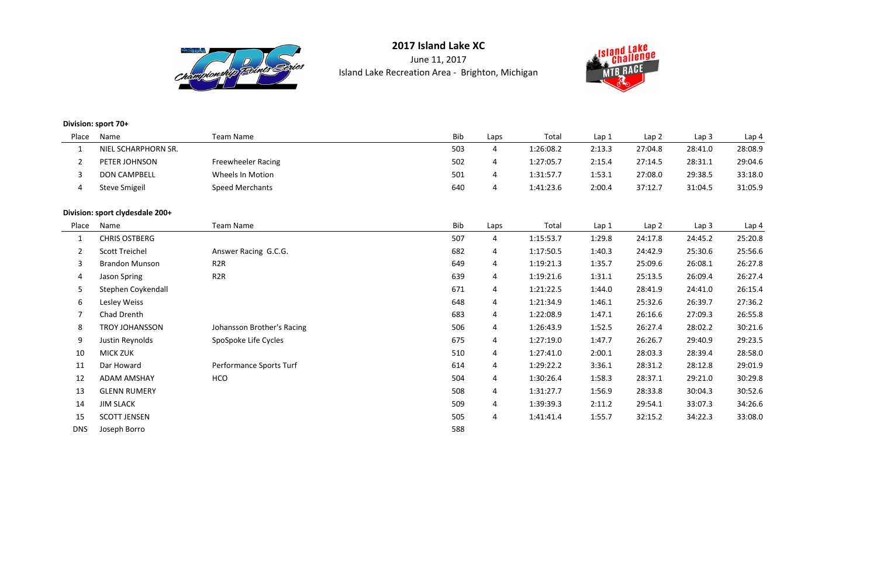

June 11, 2017Island Lake Recreation Area - Brighton, Michigan



#### **Division: sport 70+**

| Place | Name                 | Team Name              | <b>Bib</b> | Laps | Total     | Lap 1  |    |
|-------|----------------------|------------------------|------------|------|-----------|--------|----|
|       | NIEL SCHARPHORN SR.  |                        | 503        | 4    | 1:26:08.2 | 2:13.3 | 27 |
|       | PETER JOHNSON        | Freewheeler Racing     | 502        |      | 1:27:05.7 | 2:15.4 | 27 |
|       | <b>DON CAMPBELL</b>  | Wheels In Motion       | 501        | 4    | 1:31:57.7 | 1:53.1 | 27 |
| 4     | <b>Steve Smigeil</b> | <b>Speed Merchants</b> | 640        | 4    | 1:41:23.6 | 2:00.4 | 37 |
|       |                      |                        |            |      |           |        |    |

#### **Division: sport clydesdale 200+**

| Place          | Name                            | <b>Team Name</b>           | Bib | Laps           | Total     | Lap 1  | Lap <sub>2</sub> | Lap <sub>3</sub> | Lap 4   |
|----------------|---------------------------------|----------------------------|-----|----------------|-----------|--------|------------------|------------------|---------|
| $\mathbf{1}$   | NIEL SCHARPHORN SR.             |                            | 503 | $\overline{4}$ | 1:26:08.2 | 2:13.3 | 27:04.8          | 28:41.0          | 28:08.9 |
| $\overline{2}$ | PETER JOHNSON                   | <b>Freewheeler Racing</b>  | 502 | 4              | 1:27:05.7 | 2:15.4 | 27:14.5          | 28:31.1          | 29:04.6 |
| 3              | <b>DON CAMPBELL</b>             | Wheels In Motion           | 501 | 4              | 1:31:57.7 | 1:53.1 | 27:08.0          | 29:38.5          | 33:18.0 |
| 4              | <b>Steve Smigeil</b>            | <b>Speed Merchants</b>     | 640 | $\overline{4}$ | 1:41:23.6 | 2:00.4 | 37:12.7          | 31:04.5          | 31:05.9 |
|                | Division: sport clydesdale 200+ |                            |     |                |           |        |                  |                  |         |
| Place          | Name                            | <b>Team Name</b>           | Bib | Laps           | Total     | Lap 1  | Lap2             | Lap <sub>3</sub> | Lap 4   |
| $\mathbf{1}$   | <b>CHRIS OSTBERG</b>            |                            | 507 | 4              | 1:15:53.7 | 1:29.8 | 24:17.8          | 24:45.2          | 25:20.8 |
| $\overline{2}$ | <b>Scott Treichel</b>           | Answer Racing G.C.G.       | 682 | 4              | 1:17:50.5 | 1:40.3 | 24:42.9          | 25:30.6          | 25:56.6 |
| 3              | <b>Brandon Munson</b>           | R <sub>2</sub> R           | 649 | 4              | 1:19:21.3 | 1:35.7 | 25:09.6          | 26:08.1          | 26:27.8 |
| 4              | Jason Spring                    | R <sub>2</sub> R           | 639 | 4              | 1:19:21.6 | 1:31.1 | 25:13.5          | 26:09.4          | 26:27.4 |
| 5              | Stephen Coykendall              |                            | 671 | 4              | 1:21:22.5 | 1:44.0 | 28:41.9          | 24:41.0          | 26:15.4 |
| 6              | Lesley Weiss                    |                            | 648 | $\overline{4}$ | 1:21:34.9 | 1:46.1 | 25:32.6          | 26:39.7          | 27:36.2 |
| $\overline{7}$ | Chad Drenth                     |                            | 683 | 4              | 1:22:08.9 | 1:47.1 | 26:16.6          | 27:09.3          | 26:55.8 |
| 8              | <b>TROY JOHANSSON</b>           | Johansson Brother's Racing | 506 | 4              | 1:26:43.9 | 1:52.5 | 26:27.4          | 28:02.2          | 30:21.6 |
| 9              | Justin Reynolds                 | SpoSpoke Life Cycles       | 675 | 4              | 1:27:19.0 | 1:47.7 | 26:26.7          | 29:40.9          | 29:23.5 |
| 10             | <b>MICK ZUK</b>                 |                            | 510 | 4              | 1:27:41.0 | 2:00.1 | 28:03.3          | 28:39.4          | 28:58.0 |
| 11             | Dar Howard                      | Performance Sports Turf    | 614 | $\overline{4}$ | 1:29:22.2 | 3:36.1 | 28:31.2          | 28:12.8          | 29:01.9 |
| 12             | <b>ADAM AMSHAY</b>              | HCO                        | 504 | 4              | 1:30:26.4 | 1:58.3 | 28:37.1          | 29:21.0          | 30:29.8 |
| 13             | <b>GLENN RUMERY</b>             |                            | 508 | $\overline{4}$ | 1:31:27.7 | 1:56.9 | 28:33.8          | 30:04.3          | 30:52.6 |
| 14             | <b>JIM SLACK</b>                |                            | 509 | 4              | 1:39:39.3 | 2:11.2 | 29:54.1          | 33:07.3          | 34:26.6 |
| 15             | <b>SCOTT JENSEN</b>             |                            | 505 | 4              | 1:41:41.4 | 1:55.7 | 32:15.2          | 34:22.3          | 33:08.0 |
| <b>DNS</b>     | Joseph Borro                    |                            | 588 |                |           |        |                  |                  |         |

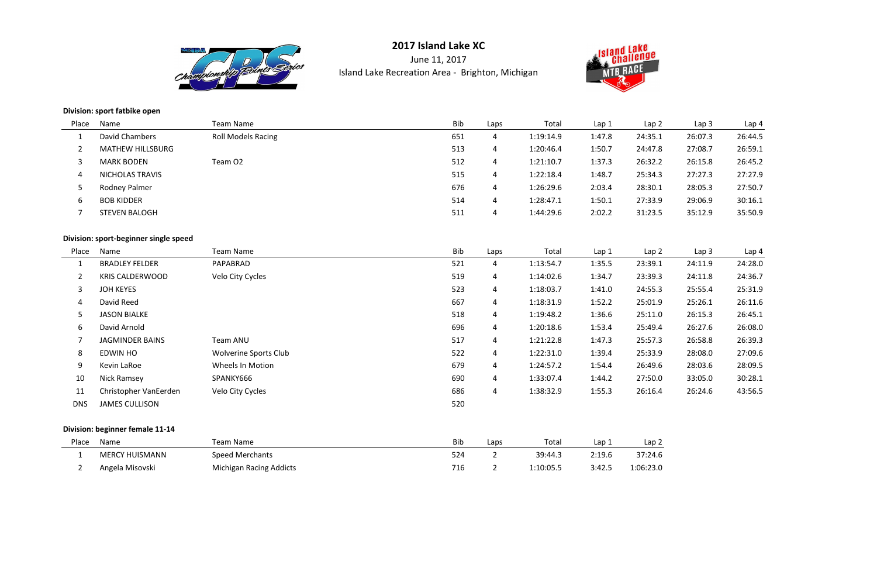

June 11, 2017Island Lake Recreation Area - Brighton, Michigan



#### **Division: sport fatbike open**

| Place | Name                    | Team Name                 | Bib | Laps | Total     | Lap 1  | Lap <sub>2</sub> | Lap <sub>3</sub> | Lap 4   |
|-------|-------------------------|---------------------------|-----|------|-----------|--------|------------------|------------------|---------|
|       | David Chambers          | <b>Roll Models Racing</b> | 651 | 4    | 1:19:14.9 | 1:47.8 | 24:35.1          | 26:07.3          | 26:44.5 |
|       | <b>MATHEW HILLSBURG</b> |                           | 513 | 4    | 1:20:46.4 | 1:50.7 | 24:47.8          | 27:08.7          | 26:59.1 |
|       | <b>MARK BODEN</b>       | Team O2                   | 512 | 4    | 1:21:10.7 | 1:37.3 | 26:32.2          | 26:15.8          | 26:45.2 |
|       | <b>NICHOLAS TRAVIS</b>  |                           | 515 | 4    | 1:22:18.4 | 1:48.7 | 25:34.3          | 27:27.3          | 27:27.9 |
|       | Rodney Palmer           |                           | 676 | 4    | 1:26:29.6 | 2:03.4 | 28:30.1          | 28:05.3          | 27:50.7 |
| b     | <b>BOB KIDDER</b>       |                           | 514 | 4    | 1:28:47.1 | 1:50.1 | 27:33.9          | 29:06.9          | 30:16.1 |
|       | <b>STEVEN BALOGH</b>    |                           | 511 | 4    | 1:44:29.6 | 2:02.2 | 31:23.5          | 35:12.9          | 35:50.9 |
|       |                         |                           |     |      |           |        |                  |                  |         |

## **Division: sport-beginner single speed**

| Place          | Name                   | Team Name                    | Bib | Laps | Total     | Lap1   | Lap <sub>2</sub> | Lap <sub>3</sub> | Lap <sub>4</sub> |
|----------------|------------------------|------------------------------|-----|------|-----------|--------|------------------|------------------|------------------|
|                | <b>BRADLEY FELDER</b>  | PAPABRAD                     | 521 | 4    | 1:13:54.7 | 1:35.5 | 23:39.1          | 24:11.9          | 24:28.0          |
| $\overline{2}$ | <b>KRIS CALDERWOOD</b> | Velo City Cycles             | 519 | 4    | 1:14:02.6 | 1:34.7 | 23:39.3          | 24:11.8          | 24:36.7          |
| 3              | <b>JOH KEYES</b>       |                              | 523 | 4    | 1:18:03.7 | 1:41.0 | 24:55.3          | 25:55.4          | 25:31.9          |
| 4              | David Reed             |                              | 667 | 4    | 1:18:31.9 | 1:52.2 | 25:01.9          | 25:26.1          | 26:11.6          |
| 5              | <b>JASON BIALKE</b>    |                              | 518 | 4    | 1:19:48.2 | 1:36.6 | 25:11.0          | 26:15.3          | 26:45.1          |
| 6              | David Arnold           |                              | 696 | 4    | 1:20:18.6 | 1:53.4 | 25:49.4          | 26:27.6          | 26:08.0          |
|                | <b>JAGMINDER BAINS</b> | Team ANU                     | 517 | 4    | 1:21:22.8 | 1:47.3 | 25:57.3          | 26:58.8          | 26:39.3          |
| 8              | EDWIN HO               | <b>Wolverine Sports Club</b> | 522 | 4    | 1:22:31.0 | 1:39.4 | 25:33.9          | 28:08.0          | 27:09.6          |
| 9              | Kevin LaRoe            | Wheels In Motion             | 679 | 4    | 1:24:57.2 | 1:54.4 | 26:49.6          | 28:03.6          | 28:09.5          |
| 10             | <b>Nick Ramsey</b>     | SPANKY666                    | 690 | 4    | 1:33:07.4 | 1:44.2 | 27:50.0          | 33:05.0          | 30:28.1          |
| 11             | Christopher VanEerden  | Velo City Cycles             | 686 | 4    | 1:38:32.9 | 1:55.3 | 26:16.4          | 26:24.6          | 43:56.5          |
| <b>DNS</b>     | <b>JAMES CULLISON</b>  |                              | 520 |      |           |        |                  |                  |                  |
|                |                        |                              |     |      |           |        |                  |                  |                  |

### **Division: beginner female 11-14**

| Place | Name                  | Team Name                      | <b>Bib</b> | Laps | Total     | Lap 1  | Lap 2     |
|-------|-----------------------|--------------------------------|------------|------|-----------|--------|-----------|
|       | <b>MERCY HUISMANN</b> | <b>Speed Merchants</b>         | 524        |      | 39:44.3   | 2:19.6 | 37:24.6   |
|       | Angela Misovski       | <b>Michigan Racing Addicts</b> | 716        |      | 1:10:05.5 | 3:42.5 | 1:06:23.0 |



 $\frac{\text{Lap 2}}{\text{Lap 2}}$  $6:23.0$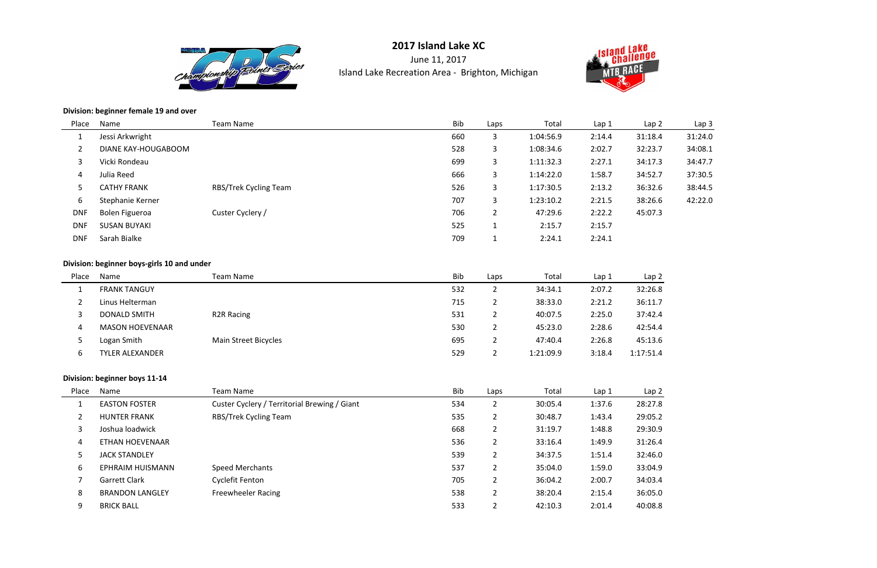

June 11, 2017Island Lake Recreation Area - Brighton, Michigan



#### **Division: beginner female 19 and over**

| Place      | Name                | Team Name             | <b>Bib</b> | Laps           | Total     | Lap <sub>1</sub> | Lap2    | Lap <sub>3</sub> |
|------------|---------------------|-----------------------|------------|----------------|-----------|------------------|---------|------------------|
|            | Jessi Arkwright     |                       | 660        | 3              | 1:04:56.9 | 2:14.4           | 31:18.4 | 31:24.0          |
|            | DIANE KAY-HOUGABOOM |                       | 528        | 3              | 1:08:34.6 | 2:02.7           | 32:23.7 | 34:08.1          |
|            | Vicki Rondeau       |                       | 699        | 3              | 1:11:32.3 | 2:27.1           | 34:17.3 | 34:47.7          |
| 4          | Julia Reed          |                       | 666        | 3              | 1:14:22.0 | 1:58.7           | 34:52.7 | 37:30.5          |
| 5.         | <b>CATHY FRANK</b>  | RBS/Trek Cycling Team | 526        | 3              | 1:17:30.5 | 2:13.2           | 36:32.6 | 38:44.5          |
| 6          | Stephanie Kerner    |                       | 707        | 3              | 1:23:10.2 | 2:21.5           | 38:26.6 | 42:22.0          |
| <b>DNF</b> | Bolen Figueroa      | Custer Cyclery /      | 706        | $\overline{2}$ | 47:29.6   | 2:22.2           | 45:07.3 |                  |
| <b>DNF</b> | <b>SUSAN BUYAKI</b> |                       | 525        |                | 2:15.7    | 2:15.7           |         |                  |
| <b>DNF</b> | Sarah Bialke        |                       | 709        |                | 2:24.1    | 2:24.1           |         |                  |
|            |                     |                       |            |                |           |                  |         |                  |

#### **Division: beginner boys-girls 10 and under**

| Place | Name                   | Team Name               | Bib | Laps     | Total     | Lap <sub>1</sub> | Lap <sub>2</sub> |
|-------|------------------------|-------------------------|-----|----------|-----------|------------------|------------------|
|       | <b>FRANK TANGUY</b>    |                         | 532 | ∠        | 34:34.1   | 2:07.2           | 32:26.8          |
|       | Linus Helterman        |                         | 715 |          | 38:33.0   | 2:21.2           | 36:11.7          |
|       | <b>DONALD SMITH</b>    | R <sub>2</sub> R Racing | 531 |          | 40:07.5   | 2:25.0           | 37:42.4          |
| 4     | <b>MASON HOEVENAAR</b> |                         | 530 | <u>_</u> | 45:23.0   | 2:28.6           | 42:54.4          |
|       | Logan Smith            | Main Street Bicycles    | 695 |          | 47:40.4   | 2:26.8           | 45:13.6          |
|       | TYLER ALEXANDER        |                         | 529 |          | 1:21:09.9 | 3:18.4           | 1:17:51.4        |

#### **Division: beginner boys 11-14**

| Place | Name                   | Team Name                                    | <b>Bib</b> | Laps                  | Total   | Lap <sub>1</sub> | Lap <sub>2</sub> |
|-------|------------------------|----------------------------------------------|------------|-----------------------|---------|------------------|------------------|
|       | <b>EASTON FOSTER</b>   | Custer Cyclery / Territorial Brewing / Giant | 534        |                       | 30:05.4 | 1:37.6           | 28:27.8          |
|       | <b>HUNTER FRANK</b>    | RBS/Trek Cycling Team                        | 535        | $\overline{2}$        | 30:48.7 | 1:43.4           | 29:05.2          |
| 3     | Joshua loadwick        |                                              | 668        | $\mathbf{2}^{\prime}$ | 31:19.7 | 1:48.8           | 29:30.9          |
| 4     | <b>ETHAN HOEVENAAR</b> |                                              | 536        | $\overline{2}$        | 33:16.4 | 1:49.9           | 31:26.4          |
| 5     | <b>JACK STANDLEY</b>   |                                              | 539        | $\overline{2}$        | 34:37.5 | 1:51.4           | 32:46.0          |
| 6     | EPHRAIM HUISMANN       | <b>Speed Merchants</b>                       | 537        | $\overline{2}$        | 35:04.0 | 1:59.0           | 33:04.9          |
|       | Garrett Clark          | Cyclefit Fenton                              | 705        | $\overline{2}$        | 36:04.2 | 2:00.7           | 34:03.4          |
| 8     | <b>BRANDON LANGLEY</b> | <b>Freewheeler Racing</b>                    | 538        | $\overline{2}$        | 38:20.4 | 2:15.4           | 36:05.0          |
| 9     | <b>BRICK BALL</b>      |                                              | 533        | າ<br>∠                | 42:10.3 | 2:01.4           | 40:08.8          |



32:26.8 36:11.7  $42:54.4$ 17:51.4

> Lap 2<br> $\frac{1}{27.8}$  $0:05.2$  $:26.4$  $04.9$  $1:03.4$  $0.80$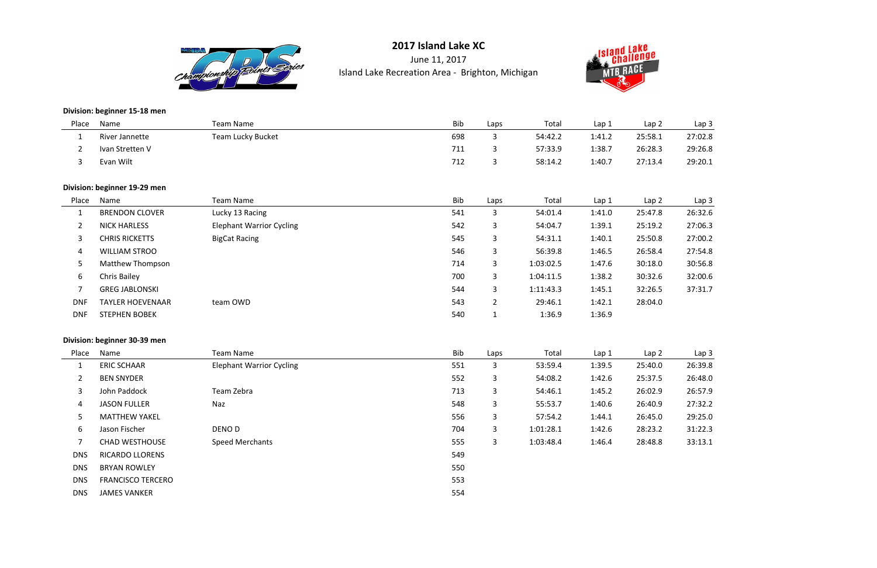

June 11, 2017Island Lake Recreation Area - Brighton, Michigan



**Division: beginner 15-18 men**

| Place | Name            | Team Name         | <b>Bib</b> | Laps | Total   | Lap 1  | Lap 2   | Lap <sub>3</sub> |
|-------|-----------------|-------------------|------------|------|---------|--------|---------|------------------|
|       | River Jannette  | Team Lucky Bucket | 698        |      | 54:42.2 | 1:41.2 | 25:58.1 | 27:02.8          |
|       | Ivan Stretten V |                   | 711        |      | 57:33.9 | 1:38.7 | 26:28.3 | 29:26.8          |
|       | Evan Wilt       |                   | 712        |      | 58:14.2 | 1:40.7 | 27:13.4 | 29:20.1          |

### **Division: beginner 19-29 men**

| Place      | Name                    | Team Name                       | Bib | Laps           | Total     | Lap 1  | Lap <sub>2</sub> | Lap <sub>3</sub> |
|------------|-------------------------|---------------------------------|-----|----------------|-----------|--------|------------------|------------------|
|            | <b>BRENDON CLOVER</b>   | Lucky 13 Racing                 | 541 | 3              | 54:01.4   | 1:41.0 | 25:47.8          | 26:32.6          |
|            | <b>NICK HARLESS</b>     | <b>Elephant Warrior Cycling</b> | 542 | 3              | 54:04.7   | 1:39.1 | 25:19.2          | 27:06.3          |
| 3          | CHRIS RICKETTS          | <b>BigCat Racing</b>            | 545 | 3              | 54:31.1   | 1:40.1 | 25:50.8          | 27:00.2          |
| 4          | <b>WILLIAM STROO</b>    |                                 | 546 | 3              | 56:39.8   | 1:46.5 | 26:58.4          | 27:54.8          |
|            | Matthew Thompson        |                                 | 714 | 3              | 1:03:02.5 | 1:47.6 | 30:18.0          | 30:56.8          |
| 6          | Chris Bailey            |                                 | 700 | 3              | 1:04:11.5 | 1:38.2 | 30:32.6          | 32:00.6          |
|            | <b>GREG JABLONSKI</b>   |                                 | 544 | 3              | 1:11:43.3 | 1:45.1 | 32:26.5          | 37:31.7          |
| <b>DNF</b> | <b>TAYLER HOEVENAAR</b> | team OWD                        | 543 | $\overline{2}$ | 29:46.1   | 1:42.1 | 28:04.0          |                  |
| <b>DNF</b> | <b>STEPHEN BOBEK</b>    |                                 | 540 |                | 1:36.9    | 1:36.9 |                  |                  |

#### **Division: beginner 30-39 men**

| Place          | Name                     | <b>Team Name</b>                | <b>Bib</b> | Laps | Total     | Lap 1  | Lap <sub>2</sub> | Lap <sub>3</sub> |
|----------------|--------------------------|---------------------------------|------------|------|-----------|--------|------------------|------------------|
|                | <b>ERIC SCHAAR</b>       | <b>Elephant Warrior Cycling</b> | 551        | 3    | 53:59.4   | 1:39.5 | 25:40.0          | 26:39.8          |
| $\overline{2}$ | <b>BEN SNYDER</b>        |                                 | 552        | 3    | 54:08.2   | 1:42.6 | 25:37.5          | 26:48.0          |
| 3              | John Paddock             | Team Zebra                      | 713        | 3    | 54:46.1   | 1:45.2 | 26:02.9          | 26:57.9          |
| 4              | <b>JASON FULLER</b>      | Naz                             | 548        | 3    | 55:53.7   | 1:40.6 | 26:40.9          | 27:32.2          |
| 5              | <b>MATTHEW YAKEL</b>     |                                 | 556        | 3    | 57:54.2   | 1:44.1 | 26:45.0          | 29:25.0          |
| 6              | Jason Fischer            | DENO D                          | 704        | 3    | 1:01:28.1 | 1:42.6 | 28:23.2          | 31:22.3          |
| 7              | <b>CHAD WESTHOUSE</b>    | <b>Speed Merchants</b>          | 555        | 3    | 1:03:48.4 | 1:46.4 | 28:48.8          | 33:13.1          |
| <b>DNS</b>     | <b>RICARDO LLORENS</b>   |                                 | 549        |      |           |        |                  |                  |
| <b>DNS</b>     | <b>BRYAN ROWLEY</b>      |                                 | 550        |      |           |        |                  |                  |
| <b>DNS</b>     | <b>FRANCISCO TERCERO</b> |                                 | 553        |      |           |        |                  |                  |
| <b>DNS</b>     | <b>JAMES VANKER</b>      |                                 | 554        |      |           |        |                  |                  |



| Laµ ∠ | ∟αμ υ            |
|-------|------------------|
| :58.1 | 27:02.8          |
| :28.3 | 29:26.8          |
| :13.4 | 29:20.1          |
|       |                  |
|       |                  |
|       |                  |
| Lap 2 | Lap <sub>3</sub> |
| :47.8 | 26:32.6          |
| :19.2 | 27:06.3          |
| :50.8 | 27:00.2          |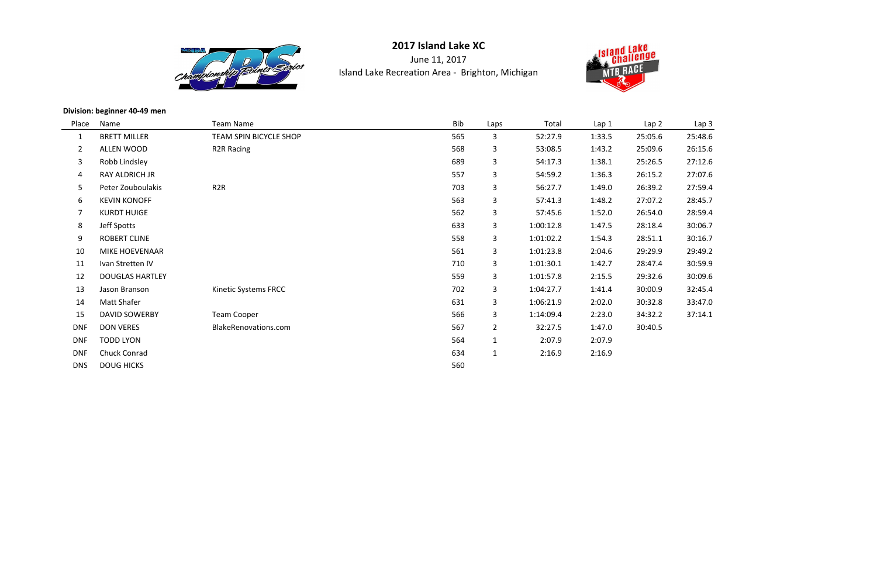

June 11, 2017Island Lake Recreation Area - Brighton, Michigan



**Division: beginner 40-49 men**

| Place          | Name                   | <b>Team Name</b>       | Bib | Laps           | Total     | Lap 1  | Lap <sub>2</sub> | Lap <sub>3</sub> |
|----------------|------------------------|------------------------|-----|----------------|-----------|--------|------------------|------------------|
| $\mathbf{1}$   | <b>BRETT MILLER</b>    | TEAM SPIN BICYCLE SHOP | 565 | 3              | 52:27.9   | 1:33.5 | 25:05.6          | 25:48.6          |
| $\overline{2}$ | ALLEN WOOD             | <b>R2R Racing</b>      | 568 | 3              | 53:08.5   | 1:43.2 | 25:09.6          | 26:15.6          |
| $\mathbf{3}$   | Robb Lindsley          |                        | 689 | 3              | 54:17.3   | 1:38.1 | 25:26.5          | 27:12.6          |
| $\overline{4}$ | RAY ALDRICH JR         |                        | 557 | 3              | 54:59.2   | 1:36.3 | 26:15.2          | 27:07.6          |
| 5              | Peter Zouboulakis      | R <sub>2</sub> R       | 703 | 3              | 56:27.7   | 1:49.0 | 26:39.2          | 27:59.4          |
| 6              | <b>KEVIN KONOFF</b>    |                        | 563 | 3              | 57:41.3   | 1:48.2 | 27:07.2          | 28:45.7          |
| $\overline{7}$ | <b>KURDT HUIGE</b>     |                        | 562 | 3 <sup>1</sup> | 57:45.6   | 1:52.0 | 26:54.0          | 28:59.4          |
| 8              | Jeff Spotts            |                        | 633 | 3 <sup>1</sup> | 1:00:12.8 | 1:47.5 | 28:18.4          | 30:06.7          |
| 9              | <b>ROBERT CLINE</b>    |                        | 558 | 3              | 1:01:02.2 | 1:54.3 | 28:51.1          | 30:16.7          |
| 10             | <b>MIKE HOEVENAAR</b>  |                        | 561 | 3 <sup>1</sup> | 1:01:23.8 | 2:04.6 | 29:29.9          | 29:49.2          |
| 11             | Ivan Stretten IV       |                        | 710 | 3 <sup>1</sup> | 1:01:30.1 | 1:42.7 | 28:47.4          | 30:59.9          |
| 12             | <b>DOUGLAS HARTLEY</b> |                        | 559 | 3 <sup>1</sup> | 1:01:57.8 | 2:15.5 | 29:32.6          | 30:09.6          |
| 13             | Jason Branson          | Kinetic Systems FRCC   | 702 | 3              | 1:04:27.7 | 1:41.4 | 30:00.9          | 32:45.4          |
| 14             | Matt Shafer            |                        | 631 | 3 <sup>1</sup> | 1:06:21.9 | 2:02.0 | 30:32.8          | 33:47.0          |
| 15             | <b>DAVID SOWERBY</b>   | <b>Team Cooper</b>     | 566 | 3 <sup>1</sup> | 1:14:09.4 | 2:23.0 | 34:32.2          | 37:14.1          |
| <b>DNF</b>     | <b>DON VERES</b>       | BlakeRenovations.com   | 567 | $\overline{2}$ | 32:27.5   | 1:47.0 | 30:40.5          |                  |
| <b>DNF</b>     | <b>TODD LYON</b>       |                        | 564 | $\mathbf{1}$   | 2:07.9    | 2:07.9 |                  |                  |
| <b>DNF</b>     | <b>Chuck Conrad</b>    |                        | 634 | $\mathbf{1}$   | 2:16.9    | 2:16.9 |                  |                  |
| <b>DNS</b>     | <b>DOUG HICKS</b>      |                        | 560 |                |           |        |                  |                  |



| Lap 2 | Lap 3   |
|-------|---------|
| :05.6 | 25:48.6 |
| :09.6 | 26:15.6 |
| :26.5 | 27:12.6 |
| :15.2 | 27:07.6 |
| :39.2 | 27:59.4 |
| :07.2 | 28:45.7 |
| :54.0 | 28:59.4 |
| :18.4 | 30:06.7 |
| :51.1 | 30:16.7 |
| :29.9 | 29:49.2 |
| :47.4 | 30:59.9 |
| :32.6 | 30:09.6 |
| :00.9 | 32:45.4 |
| :32.8 | 33:47.0 |
| :32.2 | 37:14.1 |
| חα ה⊿ |         |